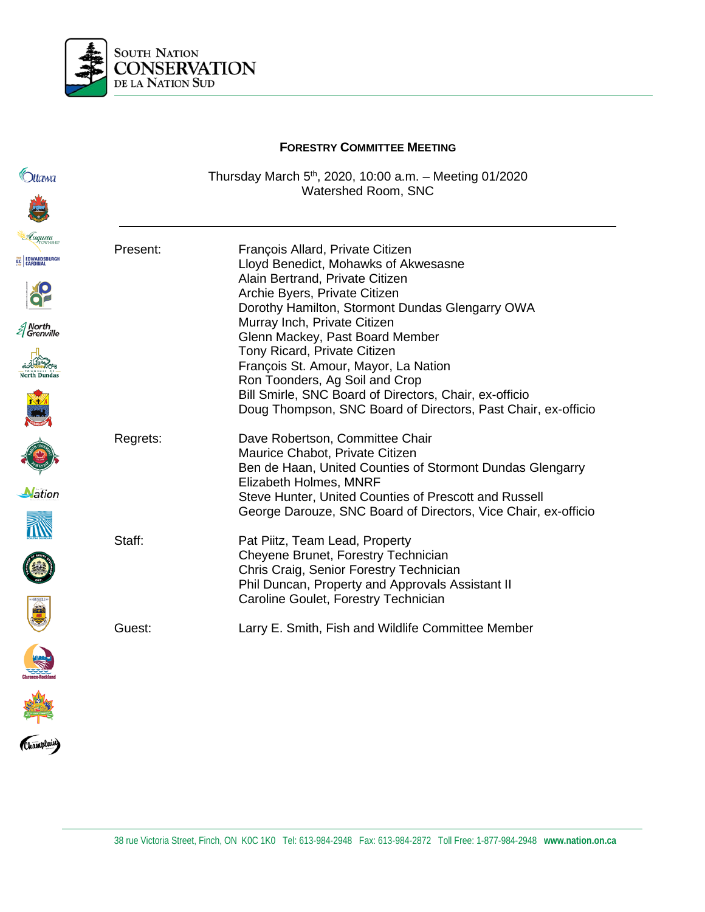

|                                                                     | <b>FORESTRY COMMITTEE MEETING</b> |                                                                                                                                                                                                                                                                                                                                                                                                                                                                                                         |
|---------------------------------------------------------------------|-----------------------------------|---------------------------------------------------------------------------------------------------------------------------------------------------------------------------------------------------------------------------------------------------------------------------------------------------------------------------------------------------------------------------------------------------------------------------------------------------------------------------------------------------------|
| )ttawa                                                              |                                   | Thursday March $5th$ , 2020, 10:00 a.m. - Meeting 01/2020<br>Watershed Room, SNC                                                                                                                                                                                                                                                                                                                                                                                                                        |
| uqusta<br>EDWARDSBURGH<br>North<br>Grenville<br><b>North Dundas</b> | Present:                          | François Allard, Private Citizen<br>Lloyd Benedict, Mohawks of Akwesasne<br>Alain Bertrand, Private Citizen<br>Archie Byers, Private Citizen<br>Dorothy Hamilton, Stormont Dundas Glengarry OWA<br>Murray Inch, Private Citizen<br>Glenn Mackey, Past Board Member<br>Tony Ricard, Private Citizen<br>François St. Amour, Mayor, La Nation<br>Ron Toonders, Ag Soil and Crop<br>Bill Smirle, SNC Board of Directors, Chair, ex-officio<br>Doug Thompson, SNC Board of Directors, Past Chair, ex-officio |
| ation                                                               | Regrets:                          | Dave Robertson, Committee Chair<br>Maurice Chabot, Private Citizen<br>Ben de Haan, United Counties of Stormont Dundas Glengarry<br>Elizabeth Holmes, MNRF<br>Steve Hunter, United Counties of Prescott and Russell<br>George Darouze, SNC Board of Directors, Vice Chair, ex-officio                                                                                                                                                                                                                    |
|                                                                     | Staff:                            | Pat Piitz, Team Lead, Property<br>Cheyene Brunet, Forestry Technician<br>Chris Craig, Senior Forestry Technician<br>Phil Duncan, Property and Approvals Assistant II<br>Caroline Goulet, Forestry Technician                                                                                                                                                                                                                                                                                            |
| <b>Allegation</b>                                                   | Guest:                            | Larry E. Smith, Fish and Wildlife Committee Member                                                                                                                                                                                                                                                                                                                                                                                                                                                      |
| Champlain)                                                          |                                   |                                                                                                                                                                                                                                                                                                                                                                                                                                                                                                         |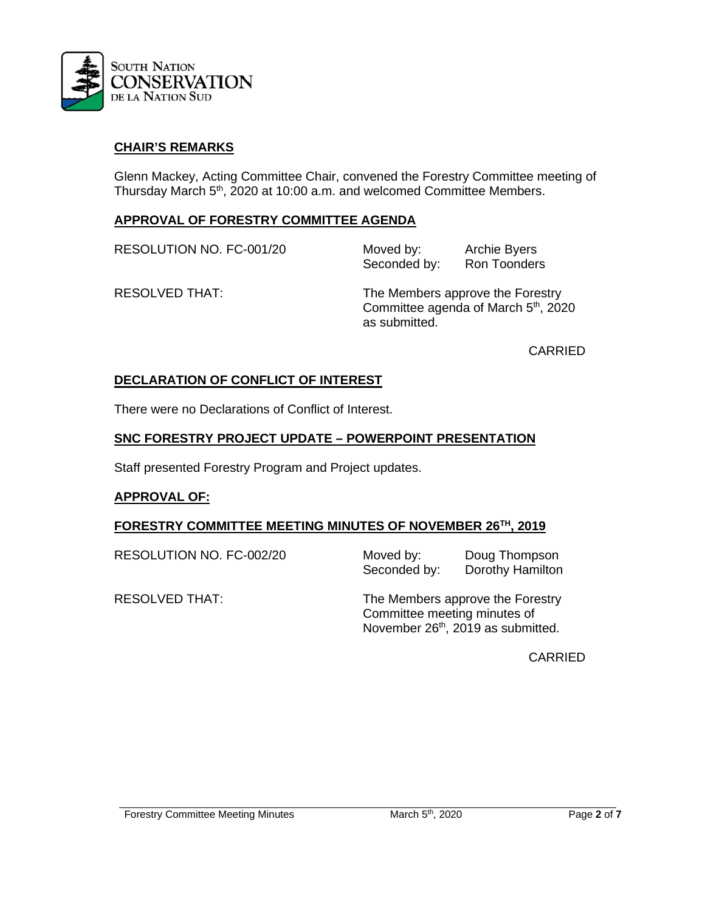

# **CHAIR'S REMARKS**

Glenn Mackey, Acting Committee Chair, convened the Forestry Committee meeting of Thursday March 5<sup>th</sup>, 2020 at 10:00 a.m. and welcomed Committee Members.

#### **APPROVAL OF FORESTRY COMMITTEE AGENDA**

RESOLUTION NO. FC-001/20 Moved by: Archie Byers

Seconded by: Ron Toonders

RESOLVED THAT: The Members approve the Forestry Committee agenda of March 5<sup>th</sup>, 2020 as submitted.

CARRIED

#### **DECLARATION OF CONFLICT OF INTEREST**

There were no Declarations of Conflict of Interest.

#### **SNC FORESTRY PROJECT UPDATE – POWERPOINT PRESENTATION**

Staff presented Forestry Program and Project updates.

#### **APPROVAL OF:**

#### **FORESTRY COMMITTEE MEETING MINUTES OF NOVEMBER 26TH, 2019**

RESOLUTION NO. FC-002/20 Moved by: Doug Thompson<br>Seconded by: Dorothy Hamilton Dorothy Hamilton

RESOLVED THAT: The Members approve the Forestry Committee meeting minutes of November 26th, 2019 as submitted.

CARRIED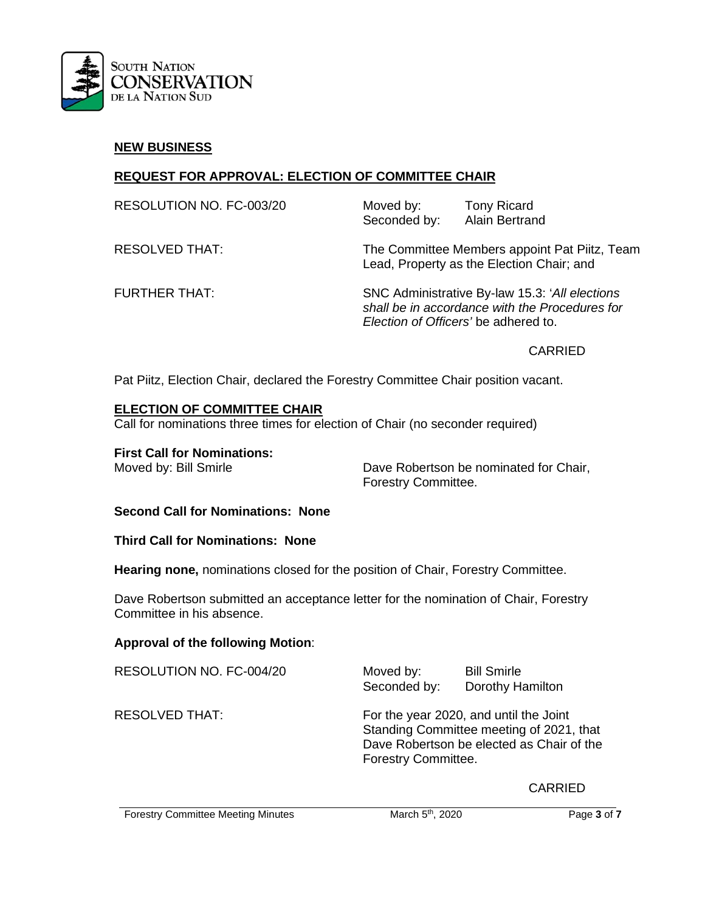

#### **NEW BUSINESS**

# **REQUEST FOR APPROVAL: ELECTION OF COMMITTEE CHAIR**

| RESOLUTION NO. FC-003/20 | Moved by:<br>Seconded by: | <b>Tony Ricard</b><br><b>Alain Bertrand</b>                                                |
|--------------------------|---------------------------|--------------------------------------------------------------------------------------------|
| RESOLVED THAT:           |                           | The Committee Members appoint Pat Piitz, Team<br>Lead, Property as the Election Chair; and |
| FURTHER THAT:            |                           | SNC Administrative By-law 15.3: 'All elections                                             |

*shall be in accordance with the Procedures for Election of Officers'* be adhered to.

CARRIED

Pat Piitz, Election Chair, declared the Forestry Committee Chair position vacant.

#### **ELECTION OF COMMITTEE CHAIR**

Call for nominations three times for election of Chair (no seconder required)

**First Call for Nominations:** 

Moved by: Bill Smirle **Dave Robertson be nominated for Chair**, Forestry Committee.

**Second Call for Nominations: None**

**Third Call for Nominations: None**

**Hearing none,** nominations closed for the position of Chair, Forestry Committee.

Dave Robertson submitted an acceptance letter for the nomination of Chair, Forestry Committee in his absence.

# **Approval of the following Motion**:

| RESOLUTION NO. FC-004/20 | Moved by:<br>Seconded by: | <b>Bill Smirle</b><br>Dorothy Hamilton                                                                                          |
|--------------------------|---------------------------|---------------------------------------------------------------------------------------------------------------------------------|
| <b>RESOLVED THAT:</b>    | Forestry Committee.       | For the year 2020, and until the Joint<br>Standing Committee meeting of 2021, that<br>Dave Robertson be elected as Chair of the |

CARRIED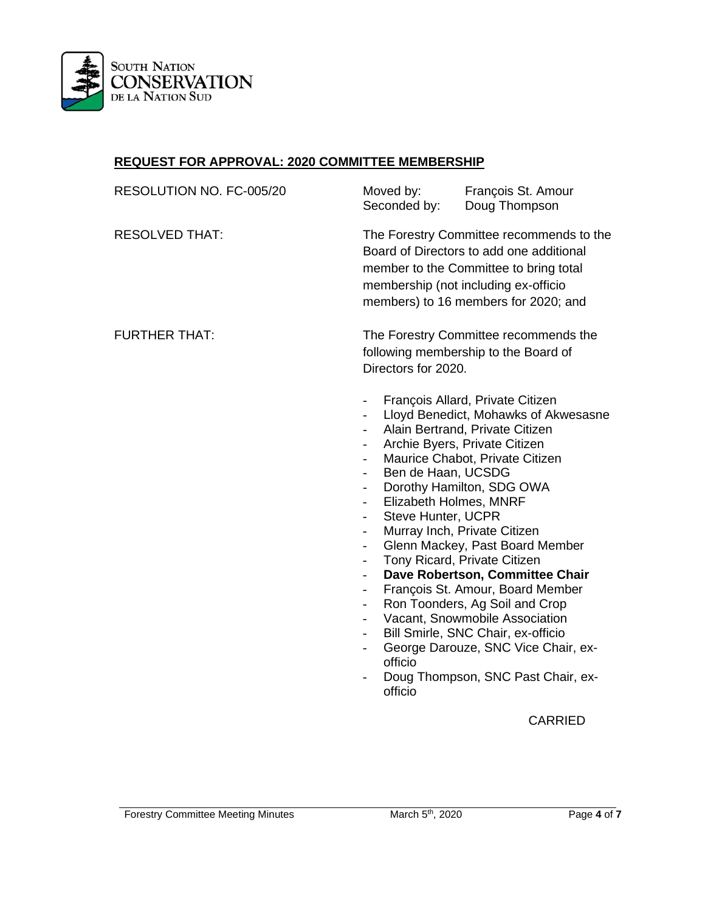

#### **REQUEST FOR APPROVAL: 2020 COMMITTEE MEMBERSHIP**

| RESOLUTION NO. FC-005/20 | Moved by:<br>Seconded by:                                                                                                                                                                                                                                                                                                                                                                                                                                                                                                                                  | François St. Amour<br>Doug Thompson                                                                                                                                                                                                                                                                                                                                                                                                                                                                                                                                                             |  |
|--------------------------|------------------------------------------------------------------------------------------------------------------------------------------------------------------------------------------------------------------------------------------------------------------------------------------------------------------------------------------------------------------------------------------------------------------------------------------------------------------------------------------------------------------------------------------------------------|-------------------------------------------------------------------------------------------------------------------------------------------------------------------------------------------------------------------------------------------------------------------------------------------------------------------------------------------------------------------------------------------------------------------------------------------------------------------------------------------------------------------------------------------------------------------------------------------------|--|
| <b>RESOLVED THAT:</b>    |                                                                                                                                                                                                                                                                                                                                                                                                                                                                                                                                                            | The Forestry Committee recommends to the<br>Board of Directors to add one additional<br>member to the Committee to bring total<br>membership (not including ex-officio<br>members) to 16 members for 2020; and                                                                                                                                                                                                                                                                                                                                                                                  |  |
| <b>FURTHER THAT:</b>     | The Forestry Committee recommends the<br>following membership to the Board of<br>Directors for 2020.                                                                                                                                                                                                                                                                                                                                                                                                                                                       |                                                                                                                                                                                                                                                                                                                                                                                                                                                                                                                                                                                                 |  |
|                          | $\frac{1}{2}$<br>$\overline{\phantom{0}}$<br>$\overline{\phantom{0}}$<br>$\overline{a}$<br>$\overline{a}$<br>Ben de Haan, UCSDG<br>$\overline{\phantom{a}}$<br>$\overline{\phantom{0}}$<br>Elizabeth Holmes, MNRF<br>$\overline{\phantom{0}}$<br><b>Steve Hunter, UCPR</b><br>$\overline{a}$<br>$\overline{\phantom{0}}$<br>$\overline{a}$<br>$\overline{a}$<br>$\overline{\phantom{0}}$<br>$\overline{\phantom{a}}$<br>$\overline{\phantom{a}}$<br>$\overline{\phantom{0}}$<br>$\overline{\phantom{0}}$<br>$\overline{\phantom{0}}$<br>officio<br>officio | François Allard, Private Citizen<br>Lloyd Benedict, Mohawks of Akwesasne<br>Alain Bertrand, Private Citizen<br>Archie Byers, Private Citizen<br>Maurice Chabot, Private Citizen<br>Dorothy Hamilton, SDG OWA<br>Murray Inch, Private Citizen<br>Glenn Mackey, Past Board Member<br>Tony Ricard, Private Citizen<br>Dave Robertson, Committee Chair<br>François St. Amour, Board Member<br>Ron Toonders, Ag Soil and Crop<br>Vacant, Snowmobile Association<br>Bill Smirle, SNC Chair, ex-officio<br>George Darouze, SNC Vice Chair, ex-<br>Doug Thompson, SNC Past Chair, ex-<br><b>CARRIED</b> |  |
|                          |                                                                                                                                                                                                                                                                                                                                                                                                                                                                                                                                                            |                                                                                                                                                                                                                                                                                                                                                                                                                                                                                                                                                                                                 |  |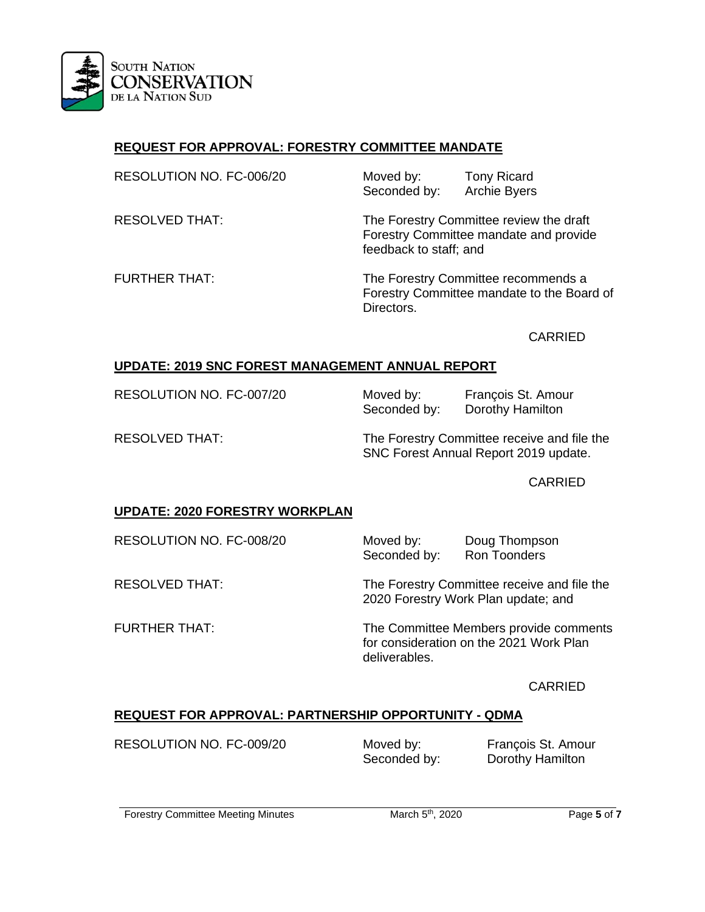

# **REQUEST FOR APPROVAL: FORESTRY COMMITTEE MANDATE**

| RESOLUTION NO. FC-006/20 | Moved by:<br>Seconded by: | <b>Tony Ricard</b><br><b>Archie Byers</b>                                         |
|--------------------------|---------------------------|-----------------------------------------------------------------------------------|
| <b>RESOLVED THAT:</b>    | feedback to staff; and    | The Forestry Committee review the draft<br>Forestry Committee mandate and provide |
| <b>FURTHER THAT:</b>     |                           | The Forestry Committee recommends a                                               |

Forestry Committee mandate to the Board of Directors.

CARRIED

# **UPDATE: 2019 SNC FOREST MANAGEMENT ANNUAL REPORT**

RESOLUTION NO. FC-007/20 Moved by: Francois St. Amour Seconded by: Dorothy Hamilton

RESOLVED THAT: The Forestry Committee receive and file the SNC Forest Annual Report 2019 update.

CARRIED

# **UPDATE: 2020 FORESTRY WORKPLAN**

RESOLUTION NO. FC-008/20 Moved by: Doug Thompson<br>Seconded by: Ron Toonders Seconded by:

RESOLVED THAT: The Forestry Committee receive and file the 2020 Forestry Work Plan update; and

FURTHER THAT: The Committee Members provide comments for consideration on the 2021 Work Plan deliverables.

CARRIED

# **REQUEST FOR APPROVAL: PARTNERSHIP OPPORTUNITY - QDMA**

RESOLUTION NO. FC-009/20 Moved by: François St. Amour

Seconded by: Dorothy Hamilton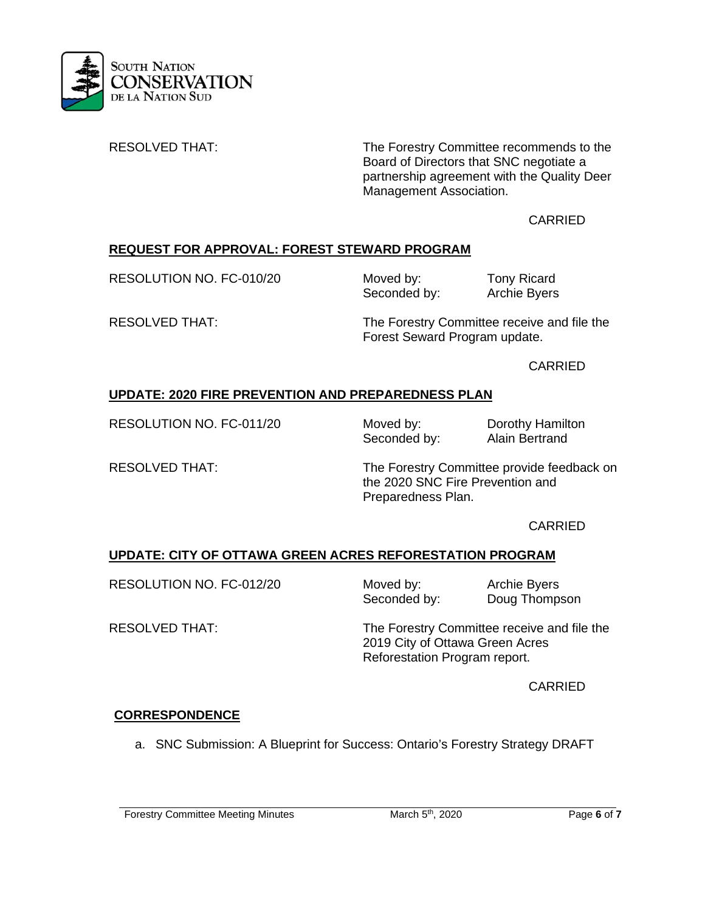

RESOLVED THAT: The Forestry Committee recommends to the Board of Directors that SNC negotiate a partnership agreement with the Quality Deer Management Association.

## CARRIED

# **REQUEST FOR APPROVAL: FOREST STEWARD PROGRAM**

RESOLUTION NO. FC-010/20 Moved by: Tony Ricard<br>Seconded by: Archie Byers

Seconded by:

RESOLVED THAT: The Forestry Committee receive and file the Forest Seward Program update.

CARRIED

# **UPDATE: 2020 FIRE PREVENTION AND PREPAREDNESS PLAN**

RESOLUTION NO. FC-011/20 Moved by: Dorothy Hamilton<br>Seconded by: Alain Bertrand

Seconded by:

RESOLVED THAT: The Forestry Committee provide feedback on the 2020 SNC Fire Prevention and Preparedness Plan.

CARRIED

# **UPDATE: CITY OF OTTAWA GREEN ACRES REFORESTATION PROGRAM**

RESOLUTION NO. FC-012/20 Moved by: Archie Byers

Seconded by: Doug Thompson

RESOLVED THAT: The Forestry Committee receive and file the 2019 City of Ottawa Green Acres Reforestation Program report.

CARRIED

# **CORRESPONDENCE**

a. SNC Submission: A Blueprint for Success: Ontario's Forestry Strategy DRAFT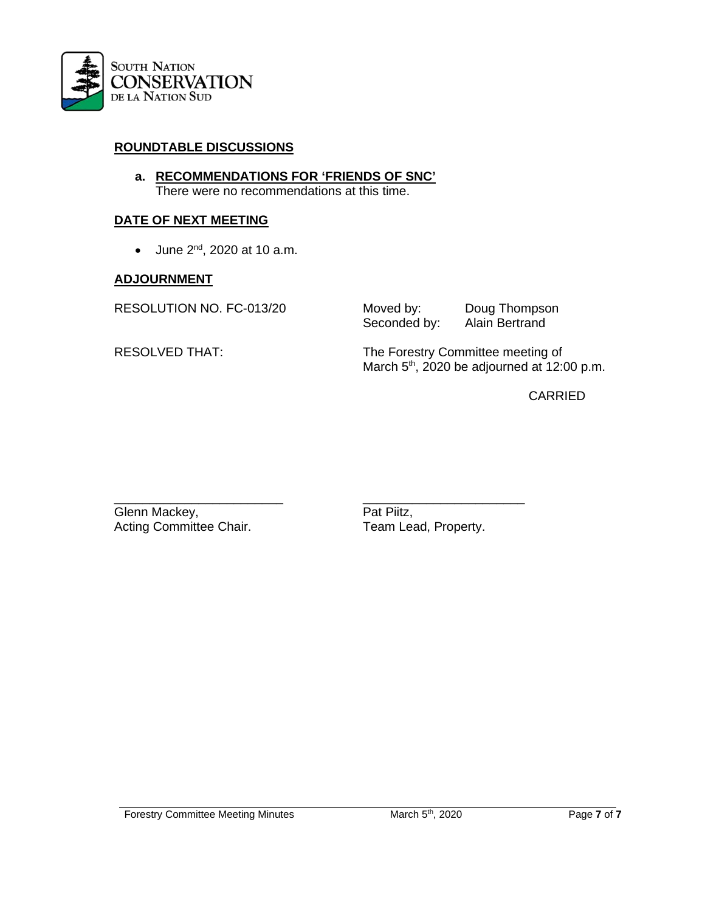

## **ROUNDTABLE DISCUSSIONS**

**a. RECOMMENDATIONS FOR 'FRIENDS OF SNC'** There were no recommendations at this time.

#### **DATE OF NEXT MEETING**

• June  $2^{nd}$ , 2020 at 10 a.m.

#### **ADJOURNMENT**

RESOLUTION NO. FC-013/20 Moved by: Doug Thompson<br>Seconded by: Alain Bertrand Seconded by:

RESOLVED THAT: The Forestry Committee meeting of March 5<sup>th</sup>, 2020 be adjourned at 12:00 p.m.

CARRIED

Glenn Mackey,<br>
Acting Committee Chair.<br>
Pat Piitz,<br>
Team Lead, Property. Acting Committee Chair.

\_\_\_\_\_\_\_\_\_\_\_\_\_\_\_\_\_\_\_\_\_\_\_\_ \_\_\_\_\_\_\_\_\_\_\_\_\_\_\_\_\_\_\_\_\_\_\_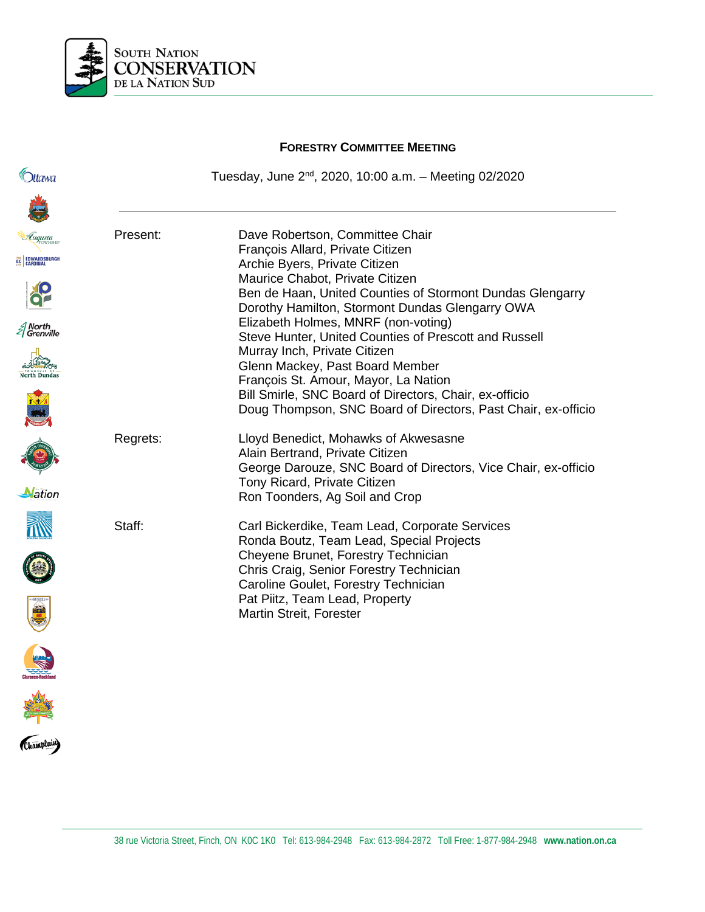

**FORESTRY COMMITTEE MEETING** *<u>Ottawa</u>* Tuesday, June  $2^{nd}$ , 2020, 10:00 a.m. – Meeting 02/2020 Present: Dave Robertson, Committee Chair François Allard, Private Citizen EC EDWARDSBURG Archie Byers, Private Citizen Maurice Chabot, Private Citizen Ben de Haan, United Counties of Stormont Dundas Glengarry Dorothy Hamilton, Stormont Dundas Glengarry OWA Elizabeth Holmes, MNRF (non-voting)  $\mathcal{\mathcal{E}}$  North<br> $\mathcal{\mathcal{E}}$  Grenville Steve Hunter, United Counties of Prescott and Russell Murray Inch, Private Citizen Glenn Mackey, Past Board Member François St. Amour, Mayor, La Nation Bill Smirle, SNC Board of Directors, Chair, ex-officio Doug Thompson, SNC Board of Directors, Past Chair, ex-officio Regrets: Lloyd Benedict, Mohawks of Akwesasne Alain Bertrand, Private Citizen George Darouze, SNC Board of Directors, Vice Chair, ex-officio Tony Ricard, Private Citizen **Nation** Ron Toonders, Ag Soil and Crop Staff: Carl Bickerdike, Team Lead, Corporate Services Ronda Boutz, Team Lead, Special Projects Cheyene Brunet, Forestry Technician Chris Craig, Senior Forestry Technician Caroline Goulet, Forestry Technician Pat Piitz, Team Lead, Property Martin Streit, Forester

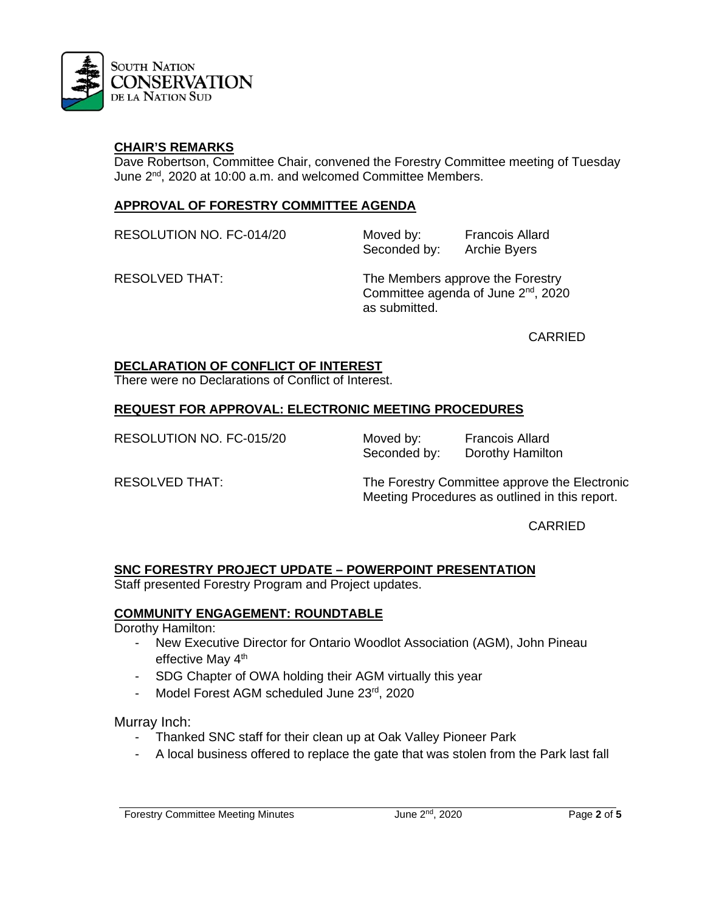

#### **CHAIR'S REMARKS**

Dave Robertson, Committee Chair, convened the Forestry Committee meeting of Tuesday June 2<sup>nd</sup>, 2020 at 10:00 a.m. and welcomed Committee Members.

#### **APPROVAL OF FORESTRY COMMITTEE AGENDA**

RESOLUTION NO. FC-014/20 Moved by: Francois Allard

Seconded by: Archie Byers

RESOLVED THAT: The Members approve the Forestry Committee agenda of June 2nd, 2020 as submitted.

CARRIED

#### **DECLARATION OF CONFLICT OF INTEREST**

There were no Declarations of Conflict of Interest.

#### **REQUEST FOR APPROVAL: ELECTRONIC MEETING PROCEDURES**

RESOLUTION NO. FC-015/20 Moved by: Francois Allard

Seconded by: Dorothy Hamilton

RESOLVED THAT: The Forestry Committee approve the Electronic Meeting Procedures as outlined in this report.

CARRIED

#### **SNC FORESTRY PROJECT UPDATE – POWERPOINT PRESENTATION**

Staff presented Forestry Program and Project updates.

#### **COMMUNITY ENGAGEMENT: ROUNDTABLE**

Dorothy Hamilton:

- New Executive Director for Ontario Woodlot Association (AGM), John Pineau effective May 4<sup>th</sup>
- SDG Chapter of OWA holding their AGM virtually this year
- Model Forest AGM scheduled June 23rd, 2020

Murray Inch:

- Thanked SNC staff for their clean up at Oak Valley Pioneer Park
- A local business offered to replace the gate that was stolen from the Park last fall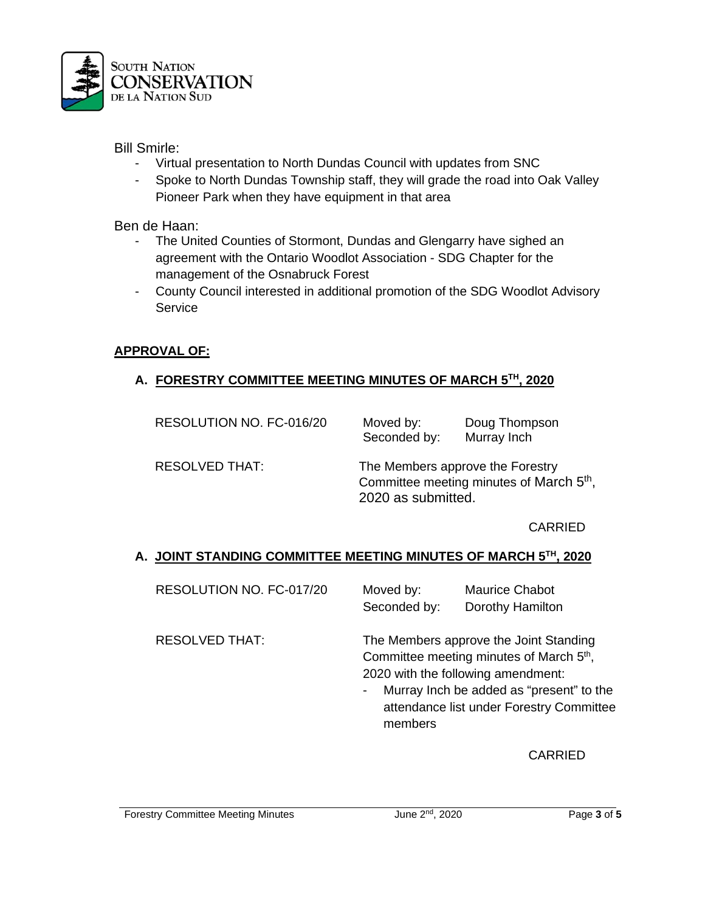

Bill Smirle:

- Virtual presentation to North Dundas Council with updates from SNC
- Spoke to North Dundas Township staff, they will grade the road into Oak Valley Pioneer Park when they have equipment in that area

Ben de Haan:

- The United Counties of Stormont, Dundas and Glengarry have sighed an agreement with the Ontario Woodlot Association - SDG Chapter for the management of the Osnabruck Forest
- County Council interested in additional promotion of the SDG Woodlot Advisory **Service**

# **APPROVAL OF:**

# **A. FORESTRY COMMITTEE MEETING MINUTES OF MARCH 5TH, 2020**

| RESOLUTION NO. FC-016/20 | Moved by:<br>Seconded by:                                                                                      | Doug Thompson<br>Murray Inch |
|--------------------------|----------------------------------------------------------------------------------------------------------------|------------------------------|
| RESOLVED THAT:           | The Members approve the Forestry<br>Committee meeting minutes of March 5 <sup>th</sup> ,<br>2020 as submitted. |                              |

CARRIED

# **A. JOINT STANDING COMMITTEE MEETING MINUTES OF MARCH 5TH, 2020**

| RESOLUTION NO. FC-017/20 | Moved by:    | <b>Maurice Chabot</b> |
|--------------------------|--------------|-----------------------|
|                          | Seconded by: | Dorothy Hamilton      |

RESOLVED THAT: The Members approve the Joint Standing Committee meeting minutes of March 5<sup>th</sup>, 2020 with the following amendment:

> - Murray Inch be added as "present" to the attendance list under Forestry Committee members

> > CARRIED

Forestry Committee Meeting Minutes June 2nd, 2020 Page **3** of **5**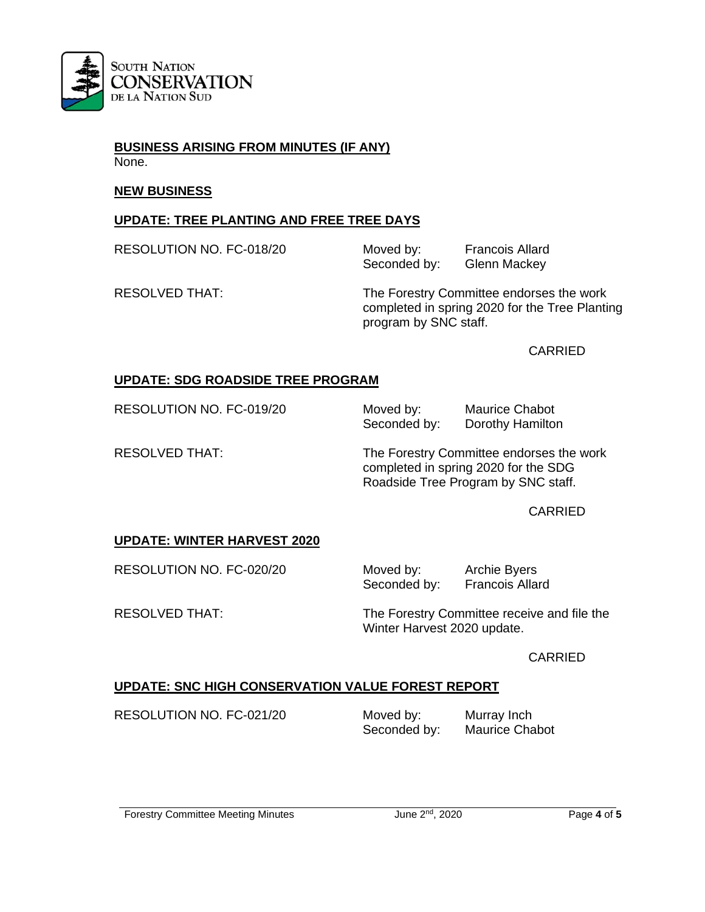

**BUSINESS ARISING FROM MINUTES (IF ANY)** None.

#### **NEW BUSINESS**

## **UPDATE: TREE PLANTING AND FREE TREE DAYS**

RESOLUTION NO. FC-018/20 Moved by: Francois Allard

Seconded by: Glenn Mackey

RESOLVED THAT: The Forestry Committee endorses the work completed in spring 2020 for the Tree Planting program by SNC staff.

CARRIED

# **UPDATE: SDG ROADSIDE TREE PROGRAM**

RESOLUTION NO. FC-019/20 Moved by: Maurice Chabot

Seconded by: Dorothy Hamilton

RESOLVED THAT: The Forestry Committee endorses the work completed in spring 2020 for the SDG Roadside Tree Program by SNC staff.

**CARRIED** 

# **UPDATE: WINTER HARVEST 2020**

RESOLUTION NO. FC-020/20 Moved by: Archie Byers<br>Seconded by: Francois Allard Seconded by:

RESOLVED THAT: The Forestry Committee receive and file the Winter Harvest 2020 update.

CARRIED

# **UPDATE: SNC HIGH CONSERVATION VALUE FOREST REPORT**

RESOLUTION NO. FC-021/20 Moved by: Murray Inch<br>Seconded by: Maurice Chabot

Seconded by: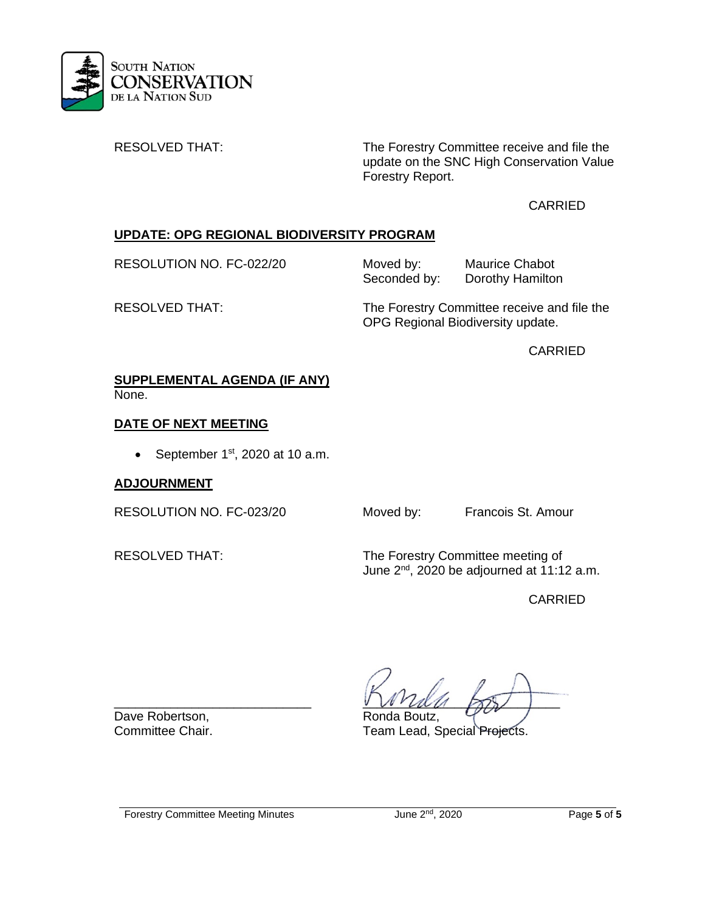

RESOLVED THAT: The Forestry Committee receive and file the update on the SNC High Conservation Value Forestry Report.

# CARRIED

# **UPDATE: OPG REGIONAL BIODIVERSITY PROGRAM**

RESOLUTION NO. FC-022/20 Moved by: Maurice Chabot<br>Seconded by: Dorothy Hamiltor Dorothy Hamilton

RESOLVED THAT: The Forestry Committee receive and file the OPG Regional Biodiversity update.

CARRIED

#### **SUPPLEMENTAL AGENDA (IF ANY)** None.

# **DATE OF NEXT MEETING**

• September  $1<sup>st</sup>$ , 2020 at 10 a.m.

# **ADJOURNMENT**

RESOLUTION NO. FC-023/20 Moved by: Francois St. Amour

RESOLVED THAT: The Forestry Committee meeting of June  $2^{nd}$ , 2020 be adjourned at 11:12 a.m.

CARRIED

Dave Robertson, The Ronda Boutz, Committee Chair.<br>
Committee Chair. Team Lead. S

 $VVMU1778/$ 

Team Lead, Special Projects.

Forestry Committee Meeting Minutes June 2nd, 2020 Page **5** of **5**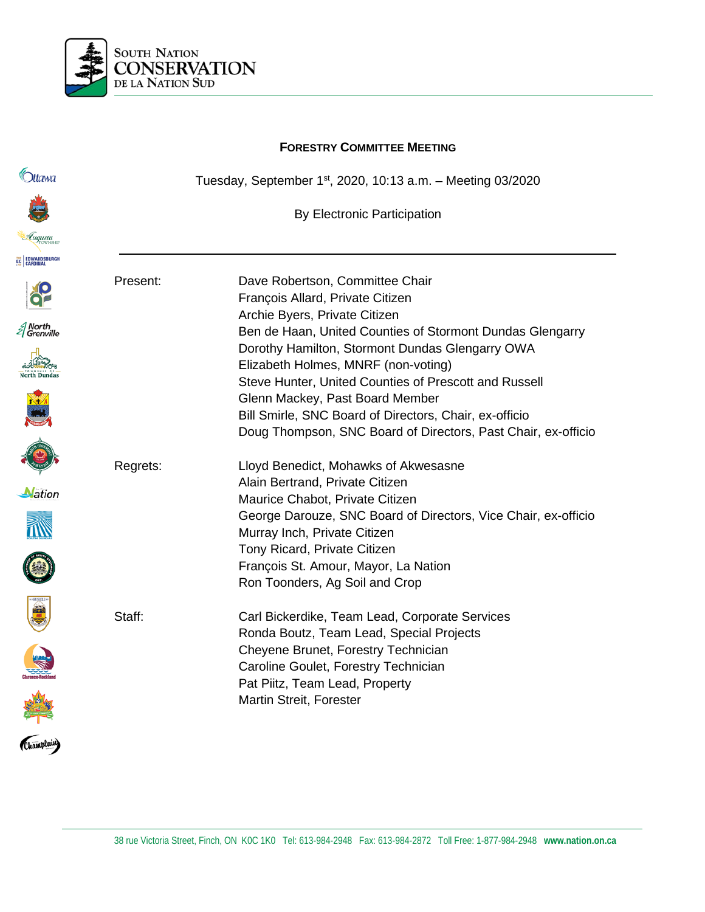

# **FORESTRY COMMITTEE MEETING C**htawa Tuesday, September 1st, 2020, 10:13 a.m. – Meeting 03/2020 By Electronic Participation **EC EDWARDSBUR** Present: Dave Robertson, Committee Chair François Allard, Private Citizen Archie Byers, Private Citizen  $\mathcal{\mathcal{E}}$  North<br> $\mathcal{\mathcal{E}}$  Grenville Ben de Haan, United Counties of Stormont Dundas Glengarry Dorothy Hamilton, Stormont Dundas Glengarry OWA Elizabeth Holmes, MNRF (non-voting) Steve Hunter, United Counties of Prescott and Russell Glenn Mackey, Past Board Member Bill Smirle, SNC Board of Directors, Chair, ex-officio Doug Thompson, SNC Board of Directors, Past Chair, ex-officio Regrets: Lloyd Benedict, Mohawks of Akwesasne Alain Bertrand, Private Citizen Nation Maurice Chabot, Private Citizen George Darouze, SNC Board of Directors, Vice Chair, ex-officio Murray Inch, Private Citizen Tony Ricard, Private Citizen François St. Amour, Mayor, La Nation Ron Toonders, Ag Soil and Crop Champlain Staff: Carl Bickerdike, Team Lead, Corporate Services Ronda Boutz, Team Lead, Special Projects Cheyene Brunet, Forestry Technician Caroline Goulet, Forestry Technician Pat Piitz, Team Lead, Property Martin Streit, Forester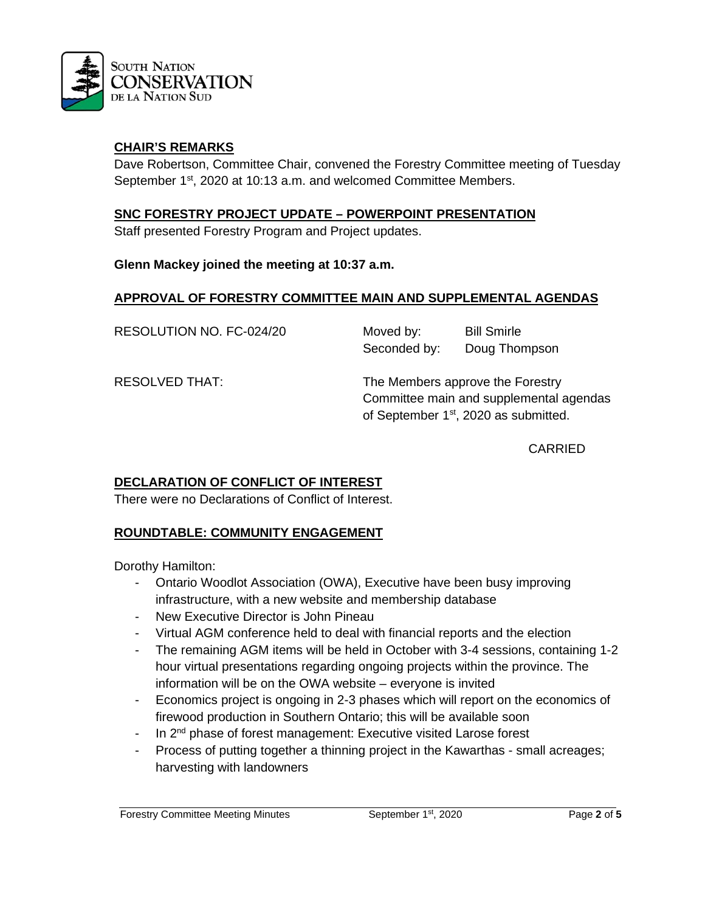

## **CHAIR'S REMARKS**

Dave Robertson, Committee Chair, convened the Forestry Committee meeting of Tuesday September 1<sup>st</sup>, 2020 at 10:13 a.m. and welcomed Committee Members.

#### **SNC FORESTRY PROJECT UPDATE – POWERPOINT PRESENTATION**

Staff presented Forestry Program and Project updates.

#### **Glenn Mackey joined the meeting at 10:37 a.m.**

#### **APPROVAL OF FORESTRY COMMITTEE MAIN AND SUPPLEMENTAL AGENDAS**

RESOLUTION NO. FC-024/20 Moved by: Bill Smirle

Seconded by: Doug Thompson

RESOLVED THAT: The Members approve the Forestry Committee main and supplemental agendas of September 1<sup>st</sup>, 2020 as submitted.

CARRIED

#### **DECLARATION OF CONFLICT OF INTEREST**

There were no Declarations of Conflict of Interest.

#### **ROUNDTABLE: COMMUNITY ENGAGEMENT**

Dorothy Hamilton:

- Ontario Woodlot Association (OWA), Executive have been busy improving infrastructure, with a new website and membership database
- New Executive Director is John Pineau
- Virtual AGM conference held to deal with financial reports and the election
- The remaining AGM items will be held in October with 3-4 sessions, containing 1-2 hour virtual presentations regarding ongoing projects within the province. The information will be on the OWA website – everyone is invited
- Economics project is ongoing in 2-3 phases which will report on the economics of firewood production in Southern Ontario; this will be available soon
- In 2<sup>nd</sup> phase of forest management: Executive visited Larose forest
- Process of putting together a thinning project in the Kawarthas small acreages; harvesting with landowners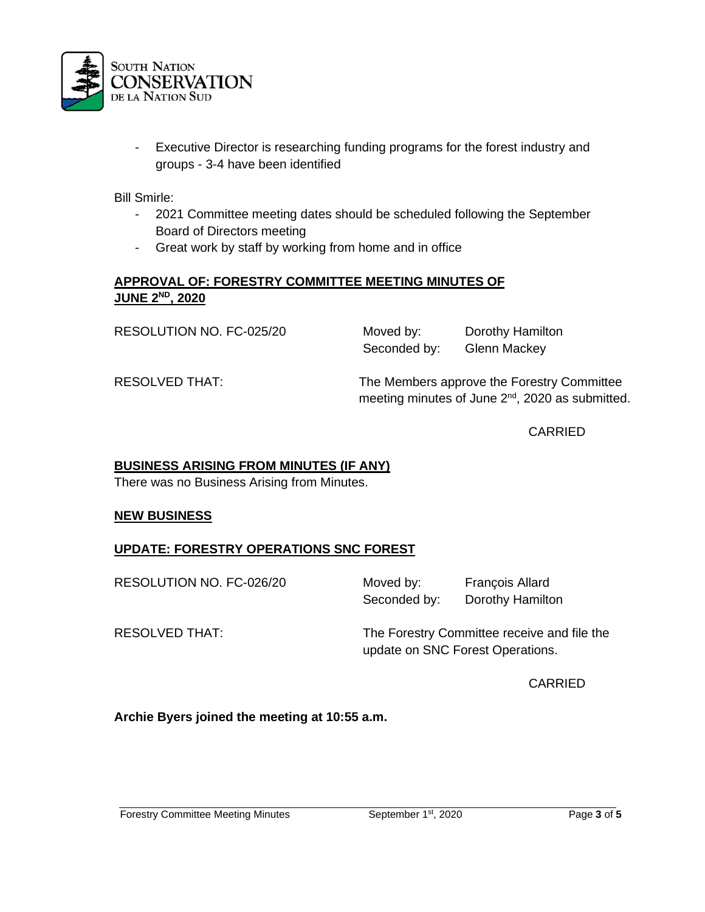

- Executive Director is researching funding programs for the forest industry and groups - 3-4 have been identified

Bill Smirle:

- 2021 Committee meeting dates should be scheduled following the September Board of Directors meeting
- Great work by staff by working from home and in office

#### **APPROVAL OF: FORESTRY COMMITTEE MEETING MINUTES OF JUNE 2ND, 2020**

RESOLUTION NO. FC-025/20 Moved by: Dorothy Hamilton Seconded by: Glenn Mackey

RESOLVED THAT: The Members approve the Forestry Committee meeting minutes of June 2<sup>nd</sup>, 2020 as submitted.

CARRIED

#### **BUSINESS ARISING FROM MINUTES (IF ANY)**

There was no Business Arising from Minutes.

#### **NEW BUSINESS**

# **UPDATE: FORESTRY OPERATIONS SNC FOREST**

RESOLUTION NO. FC-026/20 Moved by: François Allard

Seconded by: Dorothy Hamilton

RESOLVED THAT: The Forestry Committee receive and file the update on SNC Forest Operations.

CARRIED

**Archie Byers joined the meeting at 10:55 a.m.**

Forestry Committee Meeting Minutes September 1st, 2020 Page **3** of **5**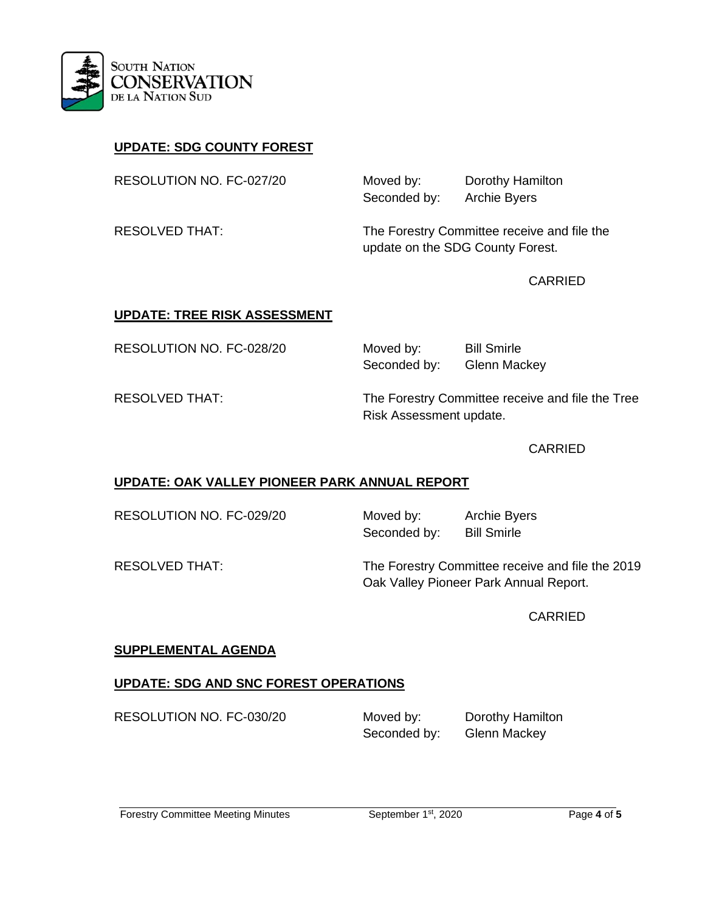

# **UPDATE: SDG COUNTY FOREST**

RESOLUTION NO. FC-027/20 Moved by: Dorothy Hamilton

Seconded by: Archie Byers

RESOLVED THAT: The Forestry Committee receive and file the update on the SDG County Forest.

CARRIED

# **UPDATE: TREE RISK ASSESSMENT**

RESOLUTION NO. FC-028/20 Moved by: Bill Smirle

Seconded by: Glenn Mackey

RESOLVED THAT: The Forestry Committee receive and file the Tree Risk Assessment update.

#### CARRIED

# **UPDATE: OAK VALLEY PIONEER PARK ANNUAL REPORT**

RESOLUTION NO. FC-029/20 Moved by: Archie Byers

Seconded by: Bill Smirle

RESOLVED THAT: The Forestry Committee receive and file the 2019 Oak Valley Pioneer Park Annual Report.

CARRIED

#### **SUPPLEMENTAL AGENDA**

# **UPDATE: SDG AND SNC FOREST OPERATIONS**

RESOLUTION NO. FC-030/20 Moved by: Dorothy Hamilton

Seconded by: Glenn Mackey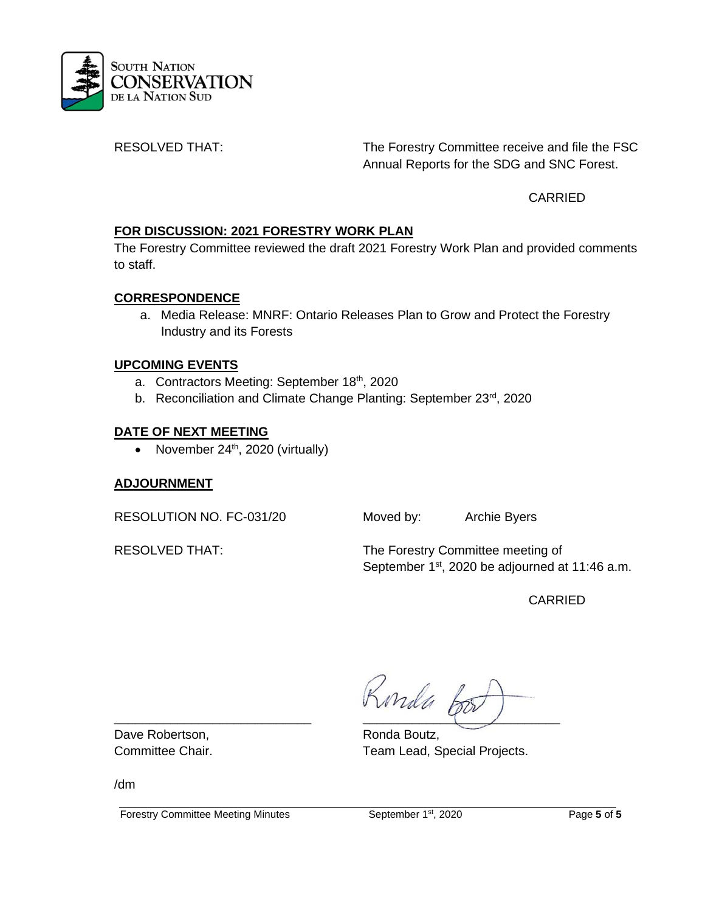

RESOLVED THAT: The Forestry Committee receive and file the FSC Annual Reports for the SDG and SNC Forest.

CARRIED

# **FOR DISCUSSION: 2021 FORESTRY WORK PLAN**

The Forestry Committee reviewed the draft 2021 Forestry Work Plan and provided comments to staff.

# **CORRESPONDENCE**

a. Media Release: MNRF: Ontario Releases Plan to Grow and Protect the Forestry Industry and its Forests

# **UPCOMING EVENTS**

- a. Contractors Meeting: September 18<sup>th</sup>, 2020
- b. Reconciliation and Climate Change Planting: September 23rd, 2020

# **DATE OF NEXT MEETING**

• November  $24<sup>th</sup>$ , 2020 (virtually)

# **ADJOURNMENT**

RESOLUTION NO. FC-031/20 Moved by: Archie Byers

RESOLVED THAT: The Forestry Committee meeting of September 1<sup>st</sup>, 2020 be adjourned at 11:46 a.m.

CARRIED

\_\_\_\_\_\_\_\_\_\_\_\_\_\_\_\_\_\_\_\_\_\_\_\_\_\_\_\_ \_\_\_\_\_\_\_\_\_\_\_\_\_\_\_\_\_\_\_\_\_\_\_\_\_\_\_\_

Committee Chair. Team Lead, Special Projects.

Dave Robertson, North Care Ronda Boutz,

/dm

Forestry Committee Meeting Minutes September 1st, 2020 Page **5** of **5**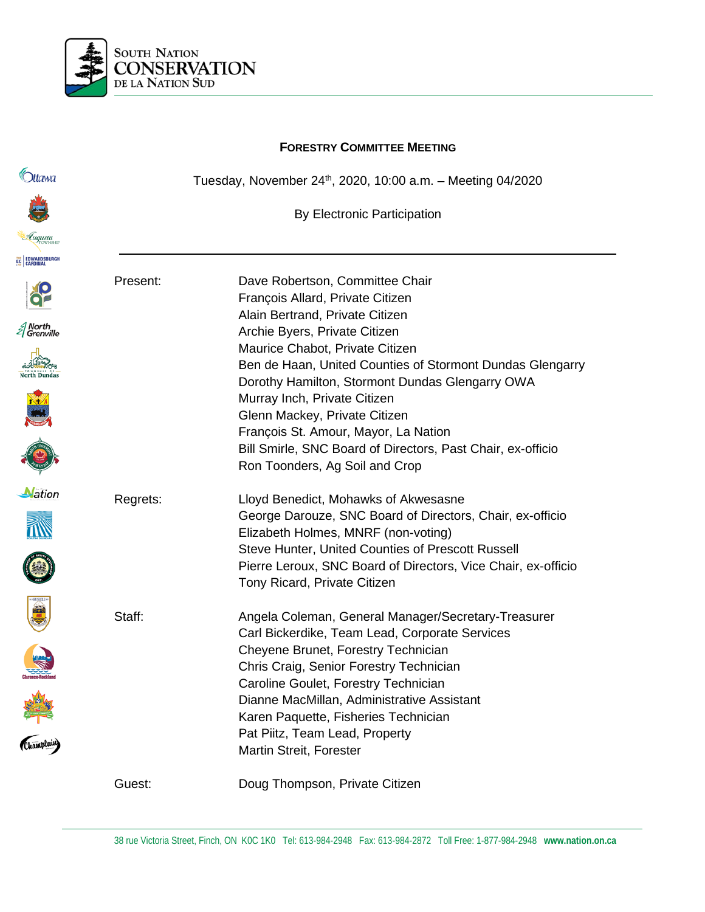

# Tuesday, November 24th, 2020, 10:00 a.m. – Meeting 04/2020 By Electronic Participation Present: Dave Robertson, Committee Chair François Allard, Private Citizen Alain Bertrand, Private Citizen Archie Byers, Private Citizen Maurice Chabot, Private Citizen Ben de Haan, United Counties of Stormont Dundas Glengarry Dorothy Hamilton, Stormont Dundas Glengarry OWA Murray Inch, Private Citizen Glenn Mackey, Private Citizen François St. Amour, Mayor, La Nation Bill Smirle, SNC Board of Directors, Past Chair, ex-officio Ron Toonders, Ag Soil and Crop

Elizabeth Holmes, MNRF (non-voting)

Tony Ricard, Private Citizen

Staff: Angela Coleman, General Manager/Secretary-Treasurer

Cheyene Brunet, Forestry Technician Chris Craig, Senior Forestry Technician Caroline Goulet, Forestry Technician

Dianne MacMillan, Administrative Assistant Karen Paquette, Fisheries Technician

Regrets: Lloyd Benedict, Mohawks of Akwesasne













Guest: Doug Thompson, Private Citizen

Martin Streit, Forester

Pat Piitz, Team Lead, Property

George Darouze, SNC Board of Directors, Chair, ex-officio

Pierre Leroux, SNC Board of Directors, Vice Chair, ex-officio

Steve Hunter, United Counties of Prescott Russell

Carl Bickerdike, Team Lead, Corporate Services

# **FORESTRY COMMITTEE MEETING**



**C**htawa







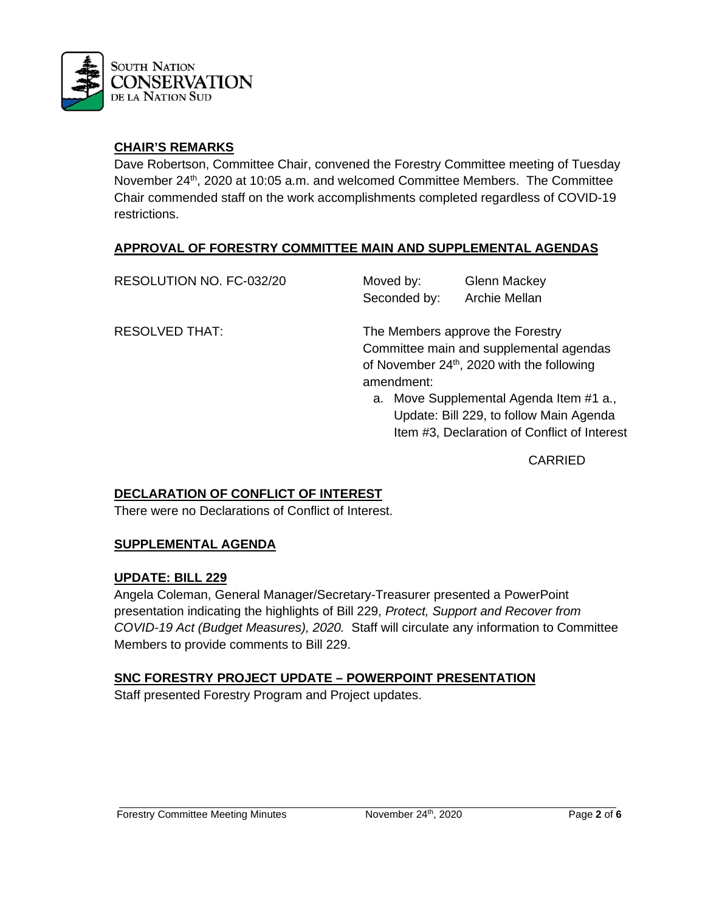

# **CHAIR'S REMARKS**

Dave Robertson, Committee Chair, convened the Forestry Committee meeting of Tuesday November 24<sup>th</sup>, 2020 at 10:05 a.m. and welcomed Committee Members. The Committee Chair commended staff on the work accomplishments completed regardless of COVID-19 restrictions.

# **APPROVAL OF FORESTRY COMMITTEE MAIN AND SUPPLEMENTAL AGENDAS**

RESOLUTION NO. FC-032/20 Moved by: Glenn Mackey Seconded by: Archie Mellan

RESOLVED THAT: The Members approve the Forestry Committee main and supplemental agendas of November 24<sup>th</sup>, 2020 with the following amendment:

> a. Move Supplemental Agenda Item #1 a., Update: Bill 229, to follow Main Agenda Item #3, Declaration of Conflict of Interest

> > CARRIED

# **DECLARATION OF CONFLICT OF INTEREST**

There were no Declarations of Conflict of Interest.

# **SUPPLEMENTAL AGENDA**

# **UPDATE: BILL 229**

Angela Coleman, General Manager/Secretary-Treasurer presented a PowerPoint presentation indicating the highlights of Bill 229, *Protect, Support and Recover from COVID-19 Act (Budget Measures), 2020.* Staff will circulate any information to Committee Members to provide comments to Bill 229.

# **SNC FORESTRY PROJECT UPDATE – POWERPOINT PRESENTATION**

Staff presented Forestry Program and Project updates.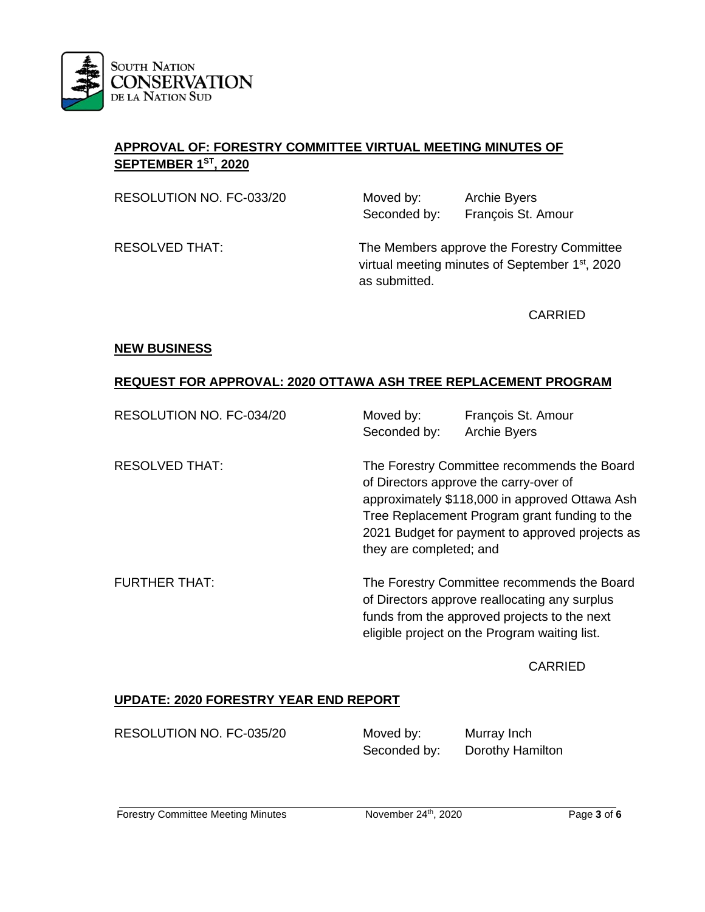

# **APPROVAL OF: FORESTRY COMMITTEE VIRTUAL MEETING MINUTES OF SEPTEMBER 1ST, 2020**

RESOLUTION NO. FC-033/20 Moved by: Archie Byers

Seconded by: François St. Amour

RESOLVED THAT: The Members approve the Forestry Committee virtual meeting minutes of September 1<sup>st</sup>, 2020 as submitted.

CARRIED

#### **NEW BUSINESS**

# **REQUEST FOR APPROVAL: 2020 OTTAWA ASH TREE REPLACEMENT PROGRAM**

| RESOLUTION NO. FC-034/20 | Moved by:<br>François St. Amour<br><b>Archie Byers</b><br>Seconded by:                                                                                                                                                                                                 |
|--------------------------|------------------------------------------------------------------------------------------------------------------------------------------------------------------------------------------------------------------------------------------------------------------------|
| <b>RESOLVED THAT:</b>    | The Forestry Committee recommends the Board<br>of Directors approve the carry-over of<br>approximately \$118,000 in approved Ottawa Ash<br>Tree Replacement Program grant funding to the<br>2021 Budget for payment to approved projects as<br>they are completed; and |
| <b>FURTHER THAT:</b>     | The Forestry Committee recommends the Board<br>of Directors approve reallocating any surplus<br>funds from the approved projects to the next<br>eligible project on the Program waiting list.                                                                          |

#### CARRIED

# **UPDATE: 2020 FORESTRY YEAR END REPORT**

RESOLUTION NO. FC-035/20 Moved by: Murray Inch

Seconded by: Dorothy Hamilton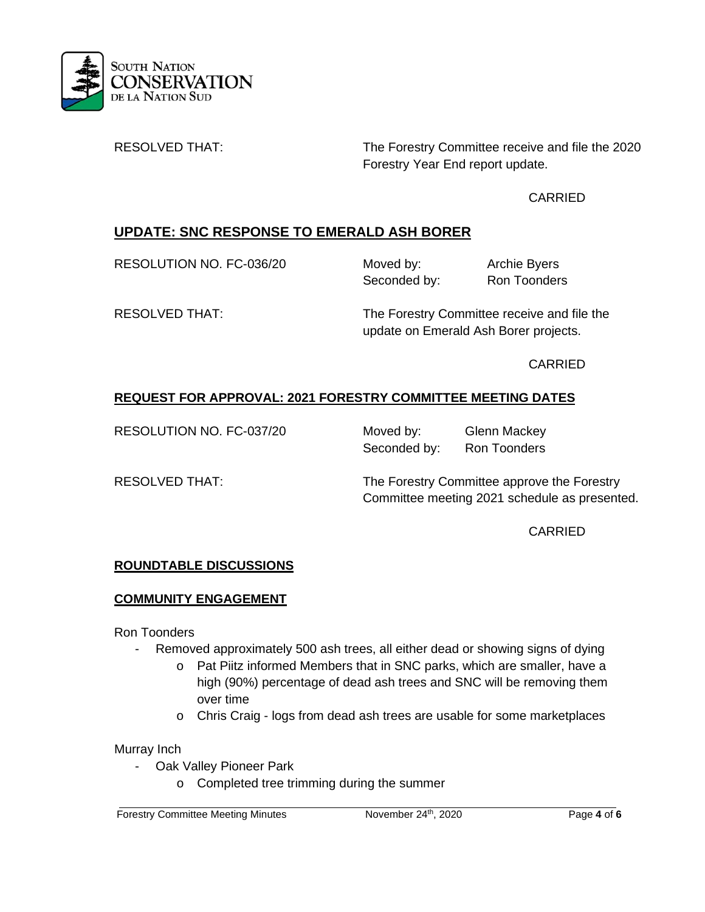

RESOLVED THAT: The Forestry Committee receive and file the 2020 Forestry Year End report update.

# CARRIED

# **UPDATE: SNC RESPONSE TO EMERALD ASH BORER**

RESOLUTION NO. FC-036/20 Moved by: Archie Byers

Seconded by: Ron Toonders

RESOLVED THAT: The Forestry Committee receive and file the update on Emerald Ash Borer projects.

CARRIED

# **REQUEST FOR APPROVAL: 2021 FORESTRY COMMITTEE MEETING DATES**

RESOLUTION NO. FC-037/20 Moved by: Glenn Mackey Seconded by: Ron Toonders

RESOLVED THAT: The Forestry Committee approve the Forestry Committee meeting 2021 schedule as presented.

**CARRIED** 

# **ROUNDTABLE DISCUSSIONS**

# **COMMUNITY ENGAGEMENT**

Ron Toonders

- Removed approximately 500 ash trees, all either dead or showing signs of dying
	- o Pat Piitz informed Members that in SNC parks, which are smaller, have a high (90%) percentage of dead ash trees and SNC will be removing them over time
	- o Chris Craig logs from dead ash trees are usable for some marketplaces

# Murray Inch

- Oak Valley Pioneer Park
	- o Completed tree trimming during the summer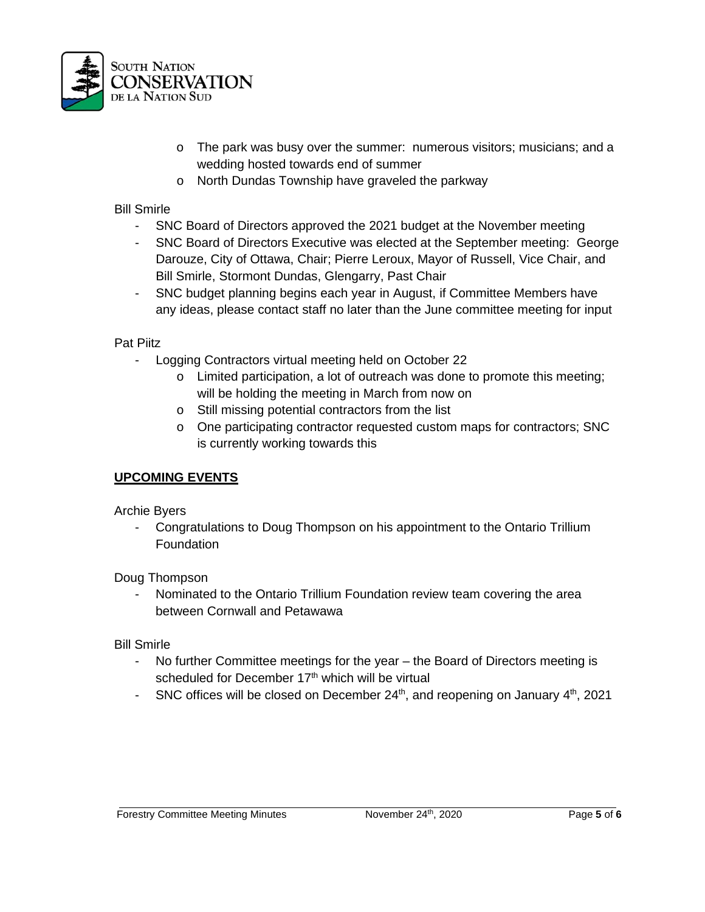

- o The park was busy over the summer: numerous visitors; musicians; and a wedding hosted towards end of summer
- o North Dundas Township have graveled the parkway

# Bill Smirle

- SNC Board of Directors approved the 2021 budget at the November meeting
- SNC Board of Directors Executive was elected at the September meeting: George Darouze, City of Ottawa, Chair; Pierre Leroux, Mayor of Russell, Vice Chair, and Bill Smirle, Stormont Dundas, Glengarry, Past Chair
- SNC budget planning begins each year in August, if Committee Members have any ideas, please contact staff no later than the June committee meeting for input

# Pat Piitz

- Logging Contractors virtual meeting held on October 22
	- o Limited participation, a lot of outreach was done to promote this meeting; will be holding the meeting in March from now on
	- o Still missing potential contractors from the list
	- o One participating contractor requested custom maps for contractors; SNC is currently working towards this

# **UPCOMING EVENTS**

Archie Byers

- Congratulations to Doug Thompson on his appointment to the Ontario Trillium **Foundation** 

Doug Thompson

Nominated to the Ontario Trillium Foundation review team covering the area between Cornwall and Petawawa

Bill Smirle

- No further Committee meetings for the year the Board of Directors meeting is scheduled for December 17<sup>th</sup> which will be virtual
- SNC offices will be closed on December  $24<sup>th</sup>$ , and reopening on January  $4<sup>th</sup>$ , 2021